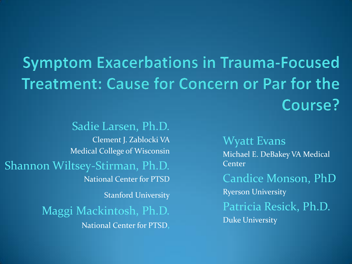#### **Symptom Exacerbations in Trauma-Focused Treatment: Cause for Concern or Par for the** Course?

 Clement J. Zablocki VA Medical College of Wisconsin National Center for PTSD **Stanford University**  National Center for PTSD, Sadie Larsen, Ph.D. Shannon Wiltsey-Stirman, Ph.D. Maggi Mackintosh, Ph.D.

Wyatt Evans Michael E. DeBakey VA Medical **Center** Candice Monson, PhD Ryerson University Patricia Resick, Ph.D. Duke University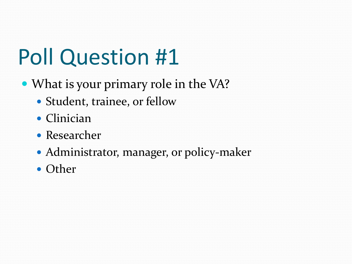## Poll Question #1

- What is your primary role in the VA?
	- Student, trainee, or fellow
	- Clinician
	- Researcher
	- Administrator, manager, or policy-maker
	- Other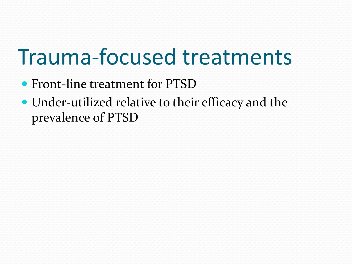#### Trauma-focused treatments

- Front-line treatment for PTSD
- Under-utilized relative to their efficacy and the prevalence of PTSD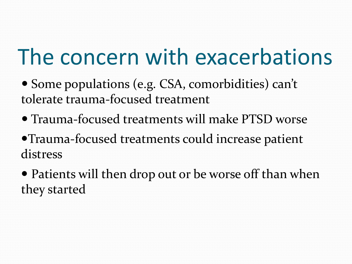#### The concern with exacerbations

- Some populations (e.g. CSA, comorbidities) can't tolerate trauma-focused treatment
- Trauma-focused treatments will make PTSD worse
- Trauma-focused treatments could increase patient distress
- Patients will then drop out or be worse off than when they started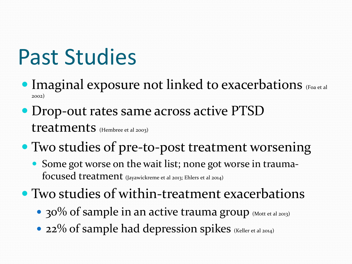## Past Studies

- **Imaginal exposure not linked to exacerbations** (Foa et al. 2002)
- Drop-out rates same across active PTSD treatments (Hembree et al 2003)
- Two studies of pre-to-post treatment worsening
	- Some got worse on the wait list; none got worse in trauma- $\boldsymbol{\mathrm{focused}}$   $\boldsymbol{\mathrm{treatment}}$  (Jayawickreme et al 2013; Ehlers et al 2014)
- Two studies of within-treatment exacerbations
	- 30% of sample in an active trauma group (Mott et al 2013)
	- 22% of sample had depression spikes (Keller et al 2014)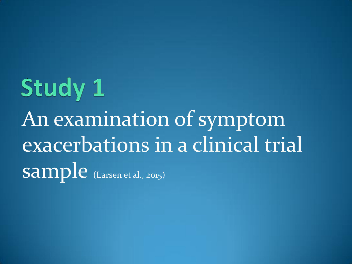# **Study 1**  An examination of symptom exacerbations in a clinical trial  $\mathbf{sample}_{\text{(Larsen et al., 2015)}}$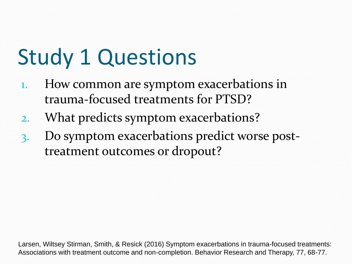## Study 1 Questions

- 1. How common are symptom exacerbations in trauma-focused treatments for PTSD?
- 2. What predicts symptom exacerbations?
- 3. Do symptom exacerbations predict worse post-treatment outcomes or dropout?

 Larsen, Wiltsey Stirman, Smith, & Resick (2016) Symptom exacerbations in trauma-focused treatments: Associations with treatment outcome and non-completion. Behavior Research and Therapy, 77, 68-77.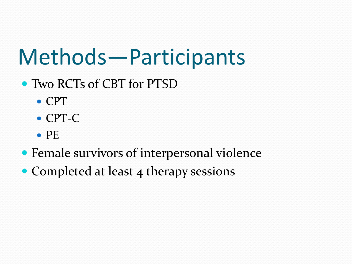#### Methods—Participants

- Two RCTs of CBT for PTSD
	- CPT
	- CPT-C
	- $\bullet$  PE
- Female survivors of interpersonal violence
- Completed at least 4 therapy sessions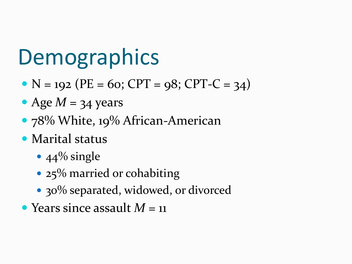#### **Demographics**

- $N = 192$  (PE = 60; CPT = 98; CPT-C = 34)
- Age  $M = 34$  years
- 78% White, 19% African-American
- Marital status
	- $\cdot$  44% single
	- 25% married or cohabiting
	- 30% separated, widowed, or divorced
- Years since assault  $M = 11$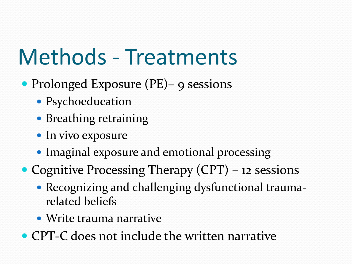#### Methods - Treatments

- Prolonged Exposure (PE)– 9 sessions
	- Psychoeducation
	- Breathing retraining
	- In vivo exposure
	- Imaginal exposure and emotional processing
- Cognitive Processing Therapy (CPT) 12 sessions
	- Recognizing and challenging dysfunctional traumarelated beliefs
	- Write trauma narrative
- CPT-C does not include the written narrative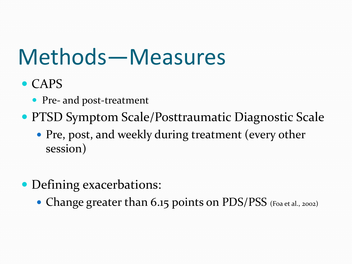#### Methods—Measures

- CAPS
	- Pre- and post-treatment
- **PTSD Symptom Scale/Posttraumatic Diagnostic Scale** 
	- Pre, post, and weekly during treatment (every other session)
- Defining exacerbations:
	- Change greater than 6.15 points on PDS/PSS (Foa et al., 2002)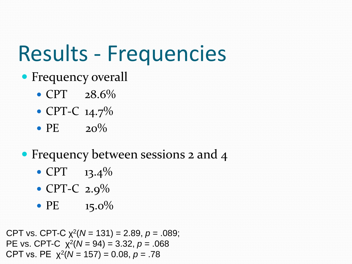## Results - Frequencies

- Frequency overall
	- $\cdot$  CPT  $28.6\%$
	- CPT-C 14.7%
	- $\bullet$  PE  $20\%$
- Frequency between sessions 2 and 4
	- $CPT$  13.4%
	- CPT-C 2.9%
	- PE  $15.0\%$

 CPT vs. CPT-C χ2(*N* = 131) = 2.89, *p* = .089; PE vs. CPT-C  $\chi^2(N = 94) = 3.32, p = .068$ CPT vs. PE  $\chi^2(N = 157) = 0.08$ ,  $p = .78$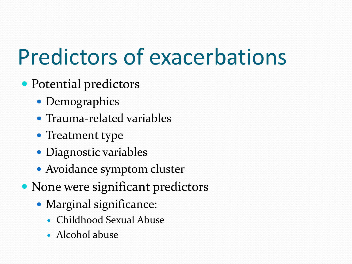## Predictors of exacerbations

- Potential predictors
	- Demographics
	- Trauma-related variables
	- Treatment type
	- Diagnostic variables
	- Avoidance symptom cluster
- None were significant predictors
	- Marginal significance:
		- Childhood Sexual Abuse
		- Alcohol abuse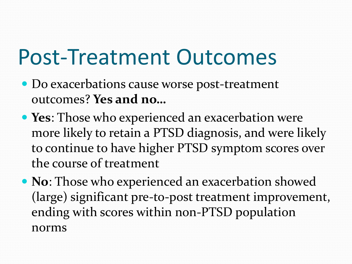#### Post-Treatment Outcomes

- Do exacerbations cause worse post-treatment outcomes? **Yes and no…**
- **Yes**: Those who experienced an exacerbation were more likely to retain a PTSD diagnosis, and were likely to continue to have higher PTSD symptom scores over the course of treatment
- **No**: Those who experienced an exacerbation showed (large) significant pre-to-post treatment improvement, ending with scores within non-PTSD population norms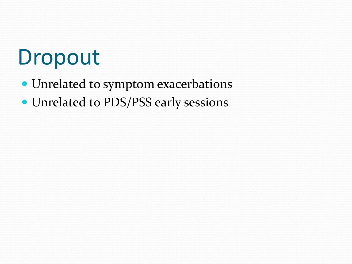#### Dropout

- Unrelated to symptom exacerbations
- Unrelated to PDS/PSS early sessions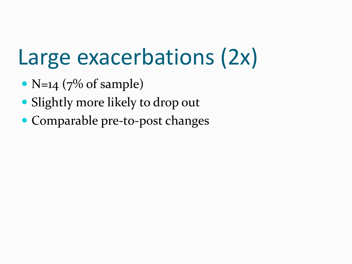### Large exacerbations (2x)

- $N=14$  (7% of sample)
- Slightly more likely to drop out
- Comparable pre-to-post changes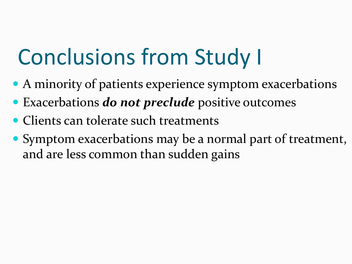## Conclusions from Study I

- A minority of patients experience symptom exacerbations
- Exacerbations *do not preclude* positive outcomes
- Clients can tolerate such treatments
- Symptom exacerbations may be a normal part of treatment, and are less common than sudden gains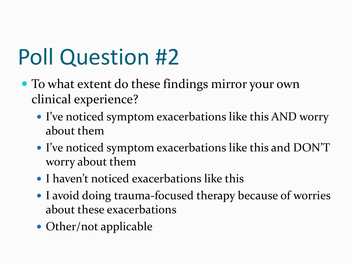## Poll Question #2

- To what extent do these findings mirror your own clinical experience?
	- I've noticed symptom exacerbations like this AND worry about them
	- I've noticed symptom exacerbations like this and DON'T worry about them
	- I haven't noticed exacerbations like this
	- I avoid doing trauma-focused therapy because of worries about these exacerbations
	- Other/not applicable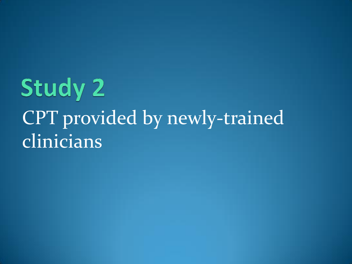#### **Study 2** CPT provided by newly-trained clinicians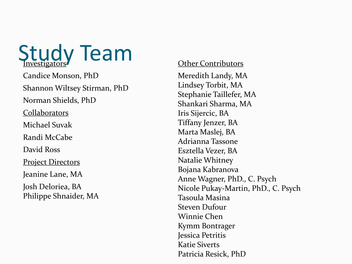**Study Team** 

 Shannon Wiltsey Stirman, PhD **Project Directors**  Jeanine Lane, MA Candice Monson, PhD Norman Shields, PhD Collaborators Michael Suvak Randi McCabe David Ross Josh Deloriea, BA Philippe Shnaider, MA

#### Other Contributors

 Meredith Landy, MA Lindsey Torbit, MA Iris Sijercic, BA Tiffany Jenzer, BA Marta Maslej, BA Adrianna Tassone Esztella Vezer, BA Natalie Whitney Bojana Kabranova Tasoula Masina Steven Dufour Winnie Chen Kymm Bontrager Jessica Petritis Katie Siverts Stephanie Taillefer, MA Shankari Sharma, MA Anne Wagner, PhD., C. Psych Nicole Pukay-Martin, PhD., C. Psych Patricia Resick, PhD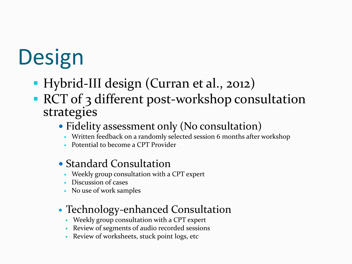# **Design**

- Hybrid-III design (Curran et al., 2012)
- **RCT** of 3 different post-workshop consultation strategies
	- Fidelity assessment only (No consultation)
		- Written feedback on a randomly selected session 6 months after workshop
		- Potential to become a CPT Provider
	- Standard Consultation
		- Weekly group consultation with a CPT expert
		- Discussion of cases
		- No use of work samples
	- Technology-enhanced Consultation
		- Weekly group consultation with a CPT expert
		- Review of segments of audio recorded sessions
		- Review of worksheets, stuck point logs, etc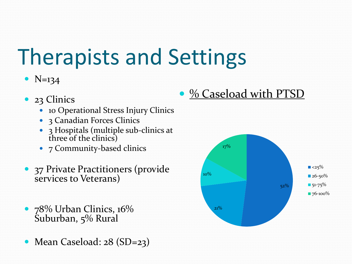## Therapists and Settings

#### •  $N=134$

- 23 Clinics
	- 10 Operational Stress Injury Clinics
	- 3 Canadian Forces Clinics
	- 3 Hospitals (multiple sub-clinics at three of the clinics)
	- 7 Community-based clinics
- 37 Private Practitioners (provide services to Veterans)
- 78% Urban Clinics, 16% Suburban, 5% Rural
- Mean Caseload: 28 (SD=23)

• % Caseload with PTSD

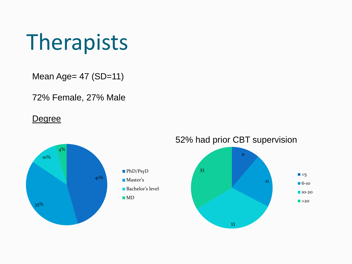#### Therapists

Mean Age= 47 (SD=11)

72% Female, 27% Male

#### **Degree**

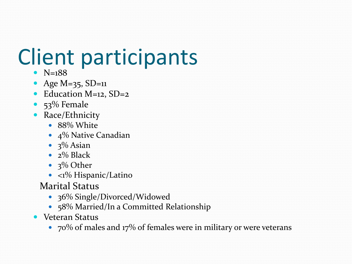## Client participants

- $N=188$
- Age M=35, SD=11
- Education M=12, SD=2
- $\bullet$  53% Female
- Race/Ethnicity
	- 88% White
	- 4% Native Canadian
	- $\cdot$  3% Asian
	- $\cdot$   $2\%$  Black
	- $\cdot$  3% Other
	- <1% Hispanic/Latino
	- Marital Status
		- 36% Single/Divorced/Widowed
		- 58% Married/In a Committed Relationship
- Veteran Status
	- 70% of males and 17% of females were in military or were veterans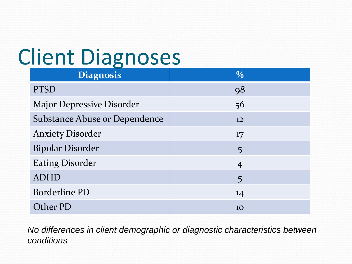## Client Diagnoses

| <b>Client Diagnoses</b>          |                |  |  |
|----------------------------------|----------------|--|--|
| <b>Diagnosis</b>                 | $\frac{0}{0}$  |  |  |
| <b>PTSD</b>                      | 98             |  |  |
| <b>Major Depressive Disorder</b> | 56             |  |  |
| Substance Abuse or Dependence    | 12             |  |  |
| <b>Anxiety Disorder</b>          | 17             |  |  |
| <b>Bipolar Disorder</b>          | 5              |  |  |
| <b>Eating Disorder</b>           | $\overline{4}$ |  |  |
| <b>ADHD</b>                      | 5              |  |  |
| <b>Borderline PD</b>             | 14             |  |  |
| Other PD                         | 10             |  |  |

*No differences in client demographic or diagnostic characteristics between conditions*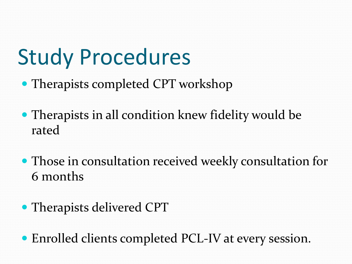#### Study Procedures

- Therapists completed CPT workshop
- Therapists in all condition knew fidelity would be rated
- Those in consultation received weekly consultation for 6 months
- Therapists delivered CPT
- Enrolled clients completed PCL-IV at every session.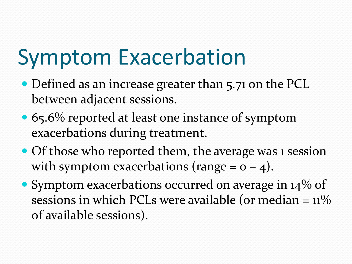#### Symptom Exacerbation

- Defined as an increase greater than 5.71 on the PCL between adjacent sessions.
- 65.6% reported at least one instance of symptom exacerbations during treatment.
- Of those who reported them, the average was 1 session with symptom exacerbations (range =  $o$  -  $4$ ).
- Symptom exacerbations occurred on average in 14% of sessions in which PCLs were available (or median  $=$  11% of available sessions).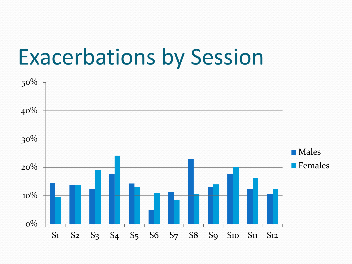#### Exacerbations by Session

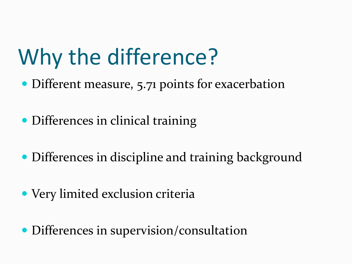## Why the difference?

- Different measure, 5.71 points for exacerbation
- Differences in clinical training
- Differences in discipline and training background
- Very limited exclusion criteria
- Differences in supervision/consultation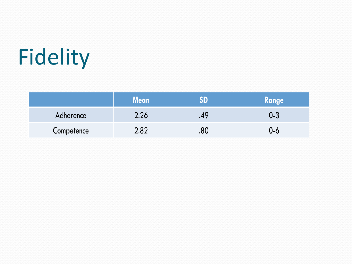## Fidelity

|            | Mean |     | Range |
|------------|------|-----|-------|
| Adherence  | 2.26 |     | 0-3   |
| Competence | 2.82 | .ou | ს-6   |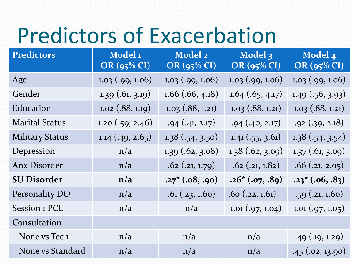#### Predictors of Exacerbation

| <b>Predictors of Exacerbation</b> |                                          |                        |                                 |                               |
|-----------------------------------|------------------------------------------|------------------------|---------------------------------|-------------------------------|
| <b>Predictors</b>                 | Model <sub>1</sub><br><b>OR</b> (95% CI) | Model 2<br>OR (95% CI) | Model 3<br>OR (95% CI)          | Model 4<br><b>OR</b> (95% CI) |
| Age                               | $1.03$ (.99, 1.06)                       | $1.03$ (.99, 1.06)     | $1.03$ (.99, 1.06)              | $1.03$ (.99, 1.06)            |
| Gender                            | $1.39$ (.61, 3.19)                       | $1.66$ (.66, 4.18)     | $1.64$ (.65, 4.17)              | $1.49$ (.56, 3.93)            |
| Education                         | $1.02$ (.88, 1.19)                       | $1.03$ (.88, 1.21)     | $1.03$ (.88, 1.21)              | $1.03$ (.88, 1.21)            |
| <b>Marital Status</b>             | 1.20(.59, 2.46)                          | .94(.41, 2.17)         | .94(.40, 2.17)                  | .92(.39, 2.18)                |
| <b>Military Status</b>            | $1.14$ (.49, 2.65)                       | 1.38(.54, 3.50)        | $1.41 \left( .55, 3.61 \right)$ | 1.38(.54, 3.54)               |
| Depression                        | n/a                                      | $1.39$ (.62, 3.08)     | 1.38(.62, 3.09)                 | $1.37$ (.61, 3.09)            |
| <b>Anx Disorder</b>               | n/a                                      | $.62$ $(.21, 1.79)$    | $.62$ $(.21, 1.82)$             | .66(.21, 2.05)                |
| <b>SU Disorder</b>                | n/a                                      | $.27^* (.08, .90)$     | $.26*(.07, .89)$                | $.23^* (.06, .83)$            |
| Personality DO                    | n/a                                      | .61(.23, 1.60)         | .60(.22, 1.61)                  | .59(.21, 1.60)                |
| Session 1 PCL                     | n/a                                      | n/a                    | $1.01 \,(.97, 1.04)$            | $1.01 \,(.97, 1.05)$          |
| Consultation                      |                                          |                        |                                 |                               |
| None vs Tech                      | n/a                                      | n/a                    | n/a                             | $.49$ (.19, 1.29)             |
| None vs Standard                  | n/a                                      | n/a                    | n/a                             | .45(.02, 13.90)               |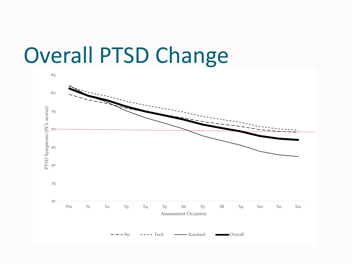#### Overall PTSD Change

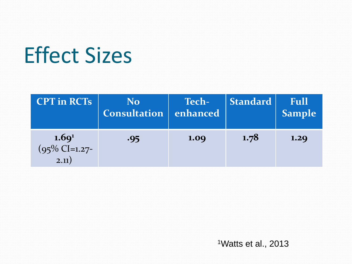### Effect Sizes

| <b>CPT</b> in RCTs                                        | <b>No</b><br><b>Consultation</b> | <b>Tech-</b><br>enhanced | <b>Standard</b> | Full<br><b>Sample</b> |
|-----------------------------------------------------------|----------------------------------|--------------------------|-----------------|-----------------------|
| 1.69 <sup>1</sup><br>$(95\% \text{ CI} = 1.27$ -<br>2.11) | .95                              | 1.09                     | 1.78            | 1.29                  |

1Watts et al., 2013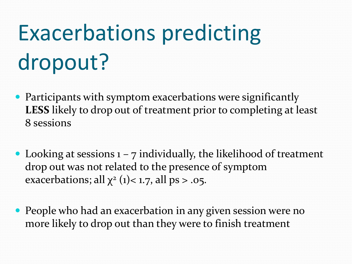# Exacerbations predicting dropout?

- Participants with symptom exacerbations were significantly **LESS** likely to drop out of treatment prior to completing at least 8 sessions
- Looking at sessions  $1 7$  individually, the likelihood of treatment drop out was not related to the presence of symptom exacerbations; all  $\chi^2$  (1)< 1.7, all ps > .05.
- People who had an exacerbation in any given session were no more likely to drop out than they were to finish treatment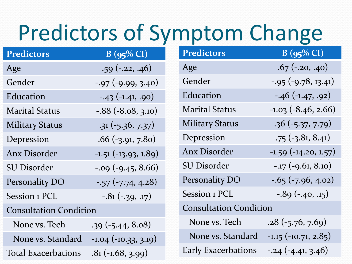#### Predictors of Symptom Change

| <b>Predictors</b>             | $B(95\% CI)$              | <b>Predictors</b>             | $B(95\% CI)$               |  |
|-------------------------------|---------------------------|-------------------------------|----------------------------|--|
| Age                           | $.59(-.22, .46)$          | Age                           | $.67$ (-.20, .40)          |  |
| Gender                        | $-0.97$ (-9.99, 3.40)     | Gender                        | $-0.95$ ( $-9.78$ , 13.41) |  |
| Education                     | $-43 (-1.41, .90)$        | Education                     | $-.46(-1.47, .92)$         |  |
| <b>Marital Status</b>         | $-.88(-8.08, 3.10)$       | <b>Marital Status</b>         | $-1.03$ $(-8.46, 2.66)$    |  |
| <b>Military Status</b>        | $.31 (-5.36, 7.37)$       | <b>Military Status</b>        | $.36(-5.37, 7.79)$         |  |
| Depression                    | $.66$ (-3.91, 7.80)       | Depression                    | $-75$ $(-3.81, 8.41)$      |  |
| <b>Anx Disorder</b>           | $-1.51(-13.93, 1.89)$     | <b>Anx Disorder</b>           | $-1.59(-14.20, 1.57)$      |  |
| <b>SU Disorder</b>            | $-0.09$ ( $-9.45, 8.66$ ) | <b>SU Disorder</b>            | $-17$ $(-9.61, 8.10)$      |  |
| Personality DO                | $-57$ $(-7.74, 4.28)$     | Personality DO                | $-0.65$ ( $-7.96$ , 4.02)  |  |
| Session 1 PCL                 | $-0.81(-0.39, 0.17)$      | Session 1 PCL                 | $-0.89(-0.40, 0.15)$       |  |
| <b>Consultation Condition</b> |                           | <b>Consultation Condition</b> |                            |  |
| None vs. Tech                 | $.39(-5.44, 8.08)$        | None vs. Tech                 | $.28(-5.76, 7.69)$         |  |
| None vs. Standard             | $-1.04$ $(-10.33, 3.19)$  | None vs. Standard             | $-1.15$ $(-10.71, 2.85)$   |  |
| <b>Total Exacerbations</b>    | $.81(-1.68, 3.99)$        | <b>Early Exacerbations</b>    | $-0.24(-4.41, 3.46)$       |  |

| redictors                           | $B(95\% CI)$              |                               | <b>Predictors</b>          | $B(95\% CI)$               |
|-------------------------------------|---------------------------|-------------------------------|----------------------------|----------------------------|
| ge                                  | $.59(-.22, .46)$          |                               | Age                        | $.67$ (-.20, .40)          |
| ender                               | $-0.97$ ( $-9.99$ , 3.40) |                               | Gender                     | $-0.95$ ( $-9.78$ , 13.41) |
| ducation                            | $-43 (-1.41, .90)$        |                               | Education                  | $-46$ $(-1.47, .92)$       |
| larital Status                      | $-.88(-8.08, 3.10)$       |                               | <b>Marital Status</b>      | $-1.03$ $(-8.46, 2.66)$    |
| <b>Ilitary Status</b>               | $.31(-5.36, 7.37)$        |                               | <b>Military Status</b>     | $.36(-5.37, 7.79)$         |
| epression                           | $.66$ (-3.91, 7.80)       |                               | Depression                 | $-75$ $(-3.81, 8.41)$      |
| nx Disorder                         | $-1.51(-13.93, 1.89)$     |                               | <b>Anx Disorder</b>        | $-1.59(-14.20, 1.57)$      |
| J Disorder                          | $-0.09$ ( $-9.45, 8.66$ ) |                               | <b>SU Disorder</b>         | $-.17$ $(-9.61, 8.10)$     |
| ersonality DO                       | $-57$ $(-7.74, 4.28)$     |                               | Personality DO             | $-0.65$ ( $-7.96$ , 4.02)  |
| ession 1 PCL                        | $-.81 (-.39, .17)$        |                               | Session 1 PCL              | $-0.89(-.40, .15)$         |
| onsultation Condition               |                           | <b>Consultation Condition</b> |                            |                            |
| None vs. Tech<br>$.39(-5.44, 8.08)$ |                           |                               | None vs. Tech              | $.28(-5.76, 7.69)$         |
| None vs. Standard                   | $-1.04$ $(-10.33, 3.19)$  |                               | None vs. Standard          | $-1.15$ $(-10.71, 2.85)$   |
| otal Exacerbations                  | $81(-168 - 200)$          |                               | <b>Early Exacerbations</b> | $-0.24$ $(-4.41, 3.46)$    |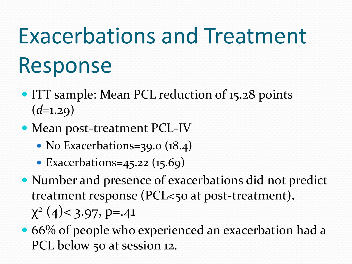## Exacerbations and Treatment Response

- ITT sample: Mean PCL reduction of 15.28 points  $(d=1.29)$
- Mean post-treatment PCL-IV
	- No Exacerbations=39.0 (18.4)
	- Exacerbations=45.22  $(15.69)$
- Number and presence of exacerbations did not predict treatment response (PCL<50 at post-treatment),  $\chi^2$  (4) < 3.97, p=.41
- 66% of people who experienced an exacerbation had a PCL below 50 at session 12.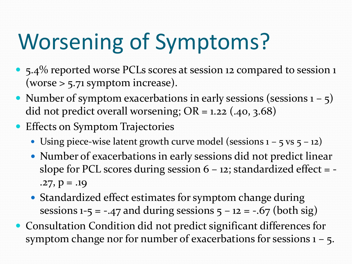## Worsening of Symptoms?

- 5.4% reported worse PCLs scores at session 12 compared to session 1 (worse  $> 5.71$  symptom increase).
- Number of symptom exacerbations in early sessions (sessions  $1 5$ ) did not predict overall worsening;  $OR = 1.22$  (.40, 3.68)
- **Effects on Symptom Trajectories** 
	- Using piece-wise latent growth curve model (sessions  $1 5$  vs  $5 12$ )
	- Number of exacerbations in early sessions did not predict linear slope for PCL scores during session  $6 - 12$ ; standardized effect =  $.27, p = .19$
	- Standardized effect estimates for symptom change during sessions  $1-5 = -.47$  and during sessions  $5 - 12 = -.67$  (both sig)
- Consultation Condition did not predict significant differences for symptom change nor for number of exacerbations for sessions 1 – 5.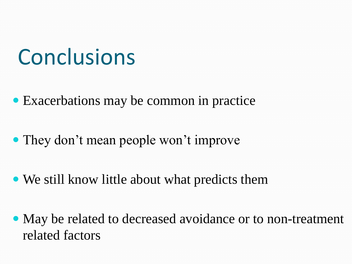#### **Conclusions**

- Exacerbations may be common in practice
- They don't mean people won't improve
- We still know little about what predicts them
- May be related to decreased avoidance or to non-treatment related factors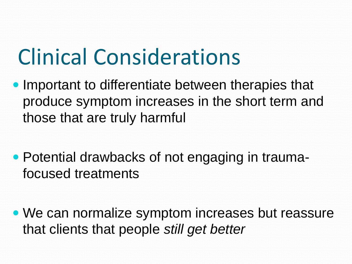#### Clinical Considerations

- those that are truly harmful • Important to differentiate between therapies that produce symptom increases in the short term and
- Potential drawbacks of not engaging in traumafocused treatments
- We can normalize symptom increases but reassure that clients that people *still get better*